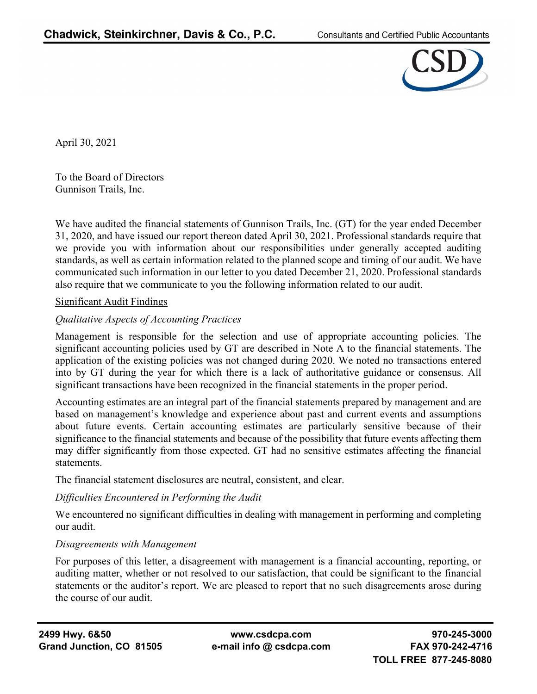

April 30, 2021

To the Board of Directors Gunnison Trails, Inc.

We have audited the financial statements of Gunnison Trails, Inc. (GT) for the year ended December 31, 2020, and have issued our report thereon dated April 30, 2021. Professional standards require that we provide you with information about our responsibilities under generally accepted auditing standards, as well as certain information related to the planned scope and timing of our audit. We have communicated such information in our letter to you dated December 21, 2020. Professional standards also require that we communicate to you the following information related to our audit.

# Significant Audit Findings

# *Qualitative Aspects of Accounting Practices*

Management is responsible for the selection and use of appropriate accounting policies. The significant accounting policies used by GT are described in Note A to the financial statements. The application of the existing policies was not changed during 2020. We noted no transactions entered into by GT during the year for which there is a lack of authoritative guidance or consensus. All significant transactions have been recognized in the financial statements in the proper period.

Accounting estimates are an integral part of the financial statements prepared by management and are based on management's knowledge and experience about past and current events and assumptions about future events. Certain accounting estimates are particularly sensitive because of their significance to the financial statements and because of the possibility that future events affecting them may differ significantly from those expected. GT had no sensitive estimates affecting the financial statements.

The financial statement disclosures are neutral, consistent, and clear.

# *Difficulties Encountered in Performing the Audit*

We encountered no significant difficulties in dealing with management in performing and completing our audit.

# *Disagreements with Management*

For purposes of this letter, a disagreement with management is a financial accounting, reporting, or auditing matter, whether or not resolved to our satisfaction, that could be significant to the financial statements or the auditor's report. We are pleased to report that no such disagreements arose during the course of our audit.